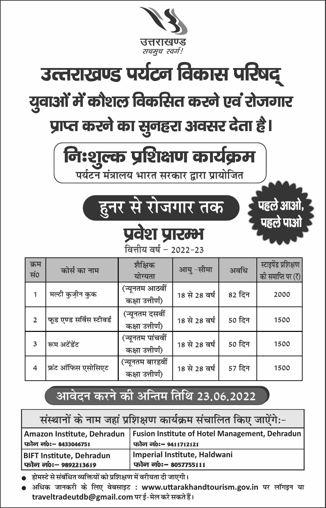

## उत्तराखण्ड पर्यटन विकास परिषद् युवाओं में कौशल विकसित करने एवं रोजगार प्राप्त करने का सुनहरा अवसर देता है।

# निःशुल्क प्रशिक्षण कार्यक्रम

पर्यटन मंत्रालय भारत सरकार द्वारा प्रायोजित

### हुनर से रोजगार तक

पहले आओ,

पहले पाओ

#### प्रवेश प्रारम्भ वित्तीय वर्ष – 2022-23

| क्रम<br>सं०    | कोर्स का नाम             | शैक्षिक<br>योग्यता                  | आयु -सीमा     | अवधि   | स्टाइपेंड प्रशिक्षण<br>की समाप्ति पर (₹) |
|----------------|--------------------------|-------------------------------------|---------------|--------|------------------------------------------|
|                | मल्टी कुज़ीन कुक         | (न्यूनतम आठवीं<br>कक्षा उत्तीर्ण)   | 18 से 28 वर्ष | 82 दिन | 2000                                     |
| $\overline{2}$ | फूड एण्ड सर्विस स्टीवर्ड | (न्यूनतम दसवीं<br>कक्षा उत्तीर्ण)   | 18 से 28 वर्ष | 50 दिन | 1500                                     |
| 3              | रूम अटेंडेंट             | (न्यूनतम पांचवीं<br>कक्षा उत्तीर्ण) | 18 से 28 वर्ष | 50 दिन | 1500                                     |
| $\overline{4}$ | फ्रंट ऑफिस एसोसिएट       | (न्यूनतम बारहवीं<br>कक्षा उत्तीर्ण) | 18 से 28 वर्ष | 57 दिन | 1500                                     |

### आवेदन करने की अन्तिम तिथि 23.06.2022

| संस्थानों के नाम जहां प्रशिक्षण कार्यक्रम संचालित किए जाऐंगे:- |                                                                                                       |  |  |  |  |  |
|----------------------------------------------------------------|-------------------------------------------------------------------------------------------------------|--|--|--|--|--|
| फोन नं0: – 8433046751                                          | Amazon Institute, Dehradun   Fusion Institute of Hotel Management, Dehradun  <br>फोन नं0:- 9411712121 |  |  |  |  |  |
| <b>BIFT Institute, Dehradun</b><br>फोन नं0: – 9892213619       | Imperial Institute, Haldwani<br>फोन नं0:- 8057755111                                                  |  |  |  |  |  |

होमस्टे से संबंधित व्यक्तियों को प्रशिक्षण में वरीयता दी जाएगी।

अधिक जानकरी के लिए वेबसाइट : www.uttarakhandtourism.gov.in पर लॉगइन या traveltradeutdb@gmail.com पर ई-मेल करे सकते हैं।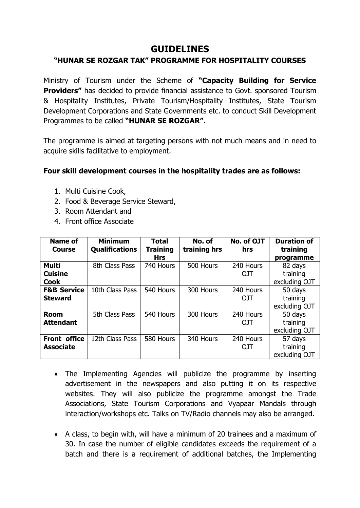#### **GUIDELINES**

#### **"HUNAR SE ROZGAR TAK" PROGRAMME FOR HOSPITALITY COURSES**

Ministry of Tourism under the Scheme of **"Capacity Building for Service Providers"** has decided to provide financial assistance to Govt. sponsored Tourism & Hospitality Institutes, Private Tourism/Hospitality Institutes, State Tourism Development Corporations and State Governments etc. to conduct Skill Development Programmes to be called **"HUNAR SE ROZGAR"**.

The programme is aimed at targeting persons with not much means and in need to acquire skills facilitative to employment.

#### **Four skill development courses in the hospitality trades are as follows:**

- 1. Multi Cuisine Cook,
- 2. Food & Beverage Service Steward,
- 3. Room Attendant and
- 4. Front office Associate

| <b>Name of</b><br><b>Course</b>               | <b>Minimum</b><br><b>Qualifications</b> | <b>Total</b><br><b>Training</b><br><b>Hrs</b> | No. of<br>training hrs | No. of OJT<br>hrs       | <b>Duration of</b><br>training<br>programme |
|-----------------------------------------------|-----------------------------------------|-----------------------------------------------|------------------------|-------------------------|---------------------------------------------|
| <b>Multi</b><br><b>Cuisine</b><br><b>Cook</b> | 8th Class Pass                          | 740 Hours                                     | 500 Hours              | 240 Hours<br><b>OJT</b> | 82 days<br>training<br>excluding OJT        |
| <b>F&amp;B Service</b><br><b>Steward</b>      | 10th Class Pass                         | 540 Hours                                     | 300 Hours              | 240 Hours<br><b>OJT</b> | 50 days<br>training<br>excluding OJT        |
| <b>Room</b><br><b>Attendant</b>               | 5th Class Pass                          | 540 Hours                                     | 300 Hours              | 240 Hours<br>OJT        | 50 days<br>training<br>excluding OJT        |
| <b>Front office</b><br><b>Associate</b>       | 12th Class Pass                         | 580 Hours                                     | 340 Hours              | 240 Hours<br><b>OJT</b> | 57 days<br>training<br>excluding OJT        |

- The Implementing Agencies will publicize the programme by inserting advertisement in the newspapers and also putting it on its respective websites. They will also publicize the programme amongst the Trade Associations, State Tourism Corporations and Vyapaar Mandals through interaction/workshops etc. Talks on TV/Radio channels may also be arranged.
- A class, to begin with, will have a minimum of 20 trainees and a maximum of 30. In case the number of eligible candidates exceeds the requirement of a batch and there is a requirement of additional batches, the Implementing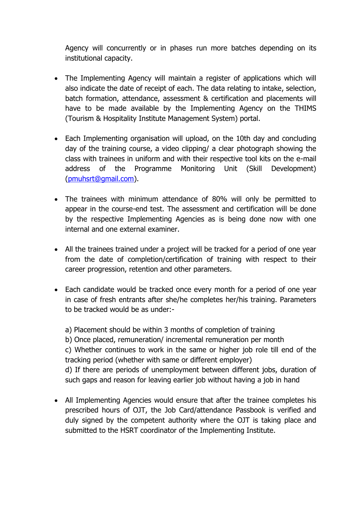Agency will concurrently or in phases run more batches depending on its institutional capacity.

- The Implementing Agency will maintain a register of applications which will also indicate the date of receipt of each. The data relating to intake, selection, batch formation, attendance, assessment & certification and placements will have to be made available by the Implementing Agency on the THIMS (Tourism & Hospitality Institute Management System) portal.
- Each Implementing organisation will upload, on the 10th day and concluding day of the training course, a video clipping/ a clear photograph showing the class with trainees in uniform and with their respective tool kits on the e-mail address of the Programme Monitoring Unit (Skill Development) [\(pmuhsrt@gmail.com\)](mailto:pmuhsrt@gmail.com).
- The trainees with minimum attendance of 80% will only be permitted to appear in the course-end test. The assessment and certification will be done by the respective Implementing Agencies as is being done now with one internal and one external examiner.
- All the trainees trained under a project will be tracked for a period of one year from the date of completion/certification of training with respect to their career progression, retention and other parameters.
- Each candidate would be tracked once every month for a period of one year in case of fresh entrants after she/he completes her/his training. Parameters to be tracked would be as under:-

a) Placement should be within 3 months of completion of training b) Once placed, remuneration/ incremental remuneration per month c) Whether continues to work in the same or higher job role till end of the tracking period (whether with same or different employer) d) If there are periods of unemployment between different jobs, duration of such gaps and reason for leaving earlier job without having a job in hand

 All Implementing Agencies would ensure that after the trainee completes his prescribed hours of OJT, the Job Card/attendance Passbook is verified and duly signed by the competent authority where the OJT is taking place and submitted to the HSRT coordinator of the Implementing Institute.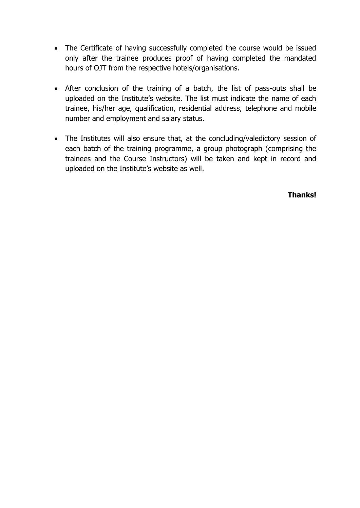- The Certificate of having successfully completed the course would be issued only after the trainee produces proof of having completed the mandated hours of OJT from the respective hotels/organisations.
- After conclusion of the training of a batch, the list of pass-outs shall be uploaded on the Institute's website. The list must indicate the name of each trainee, his/her age, qualification, residential address, telephone and mobile number and employment and salary status.
- The Institutes will also ensure that, at the concluding/valedictory session of each batch of the training programme, a group photograph (comprising the trainees and the Course Instructors) will be taken and kept in record and uploaded on the Institute's website as well.

**Thanks!**